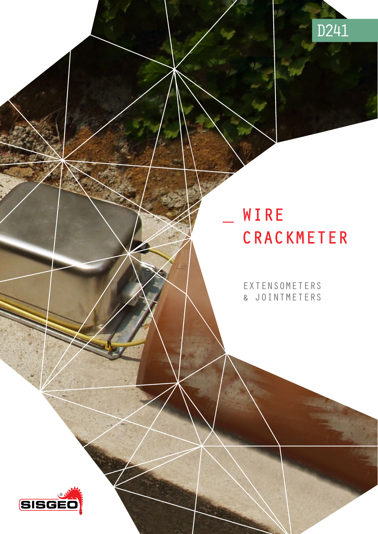

# WIRE<br>CRACKMETER

EXTENSOMETERS & JOINTMETERS

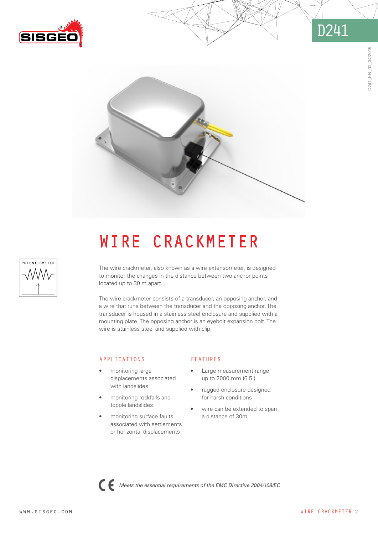





# wire CRACKMETER

The wire crackmeter, also known as a wire extensometer, is designed to monitor the changes in the distance between two anchor points located up to 30 m apart.

The wire crackmeter consists of a transducer, an opposing anchor, and a wire that runs between the transducer and the opposing anchor. The transducer is housed in a stainless steel enclosure and supplied with a mounting plate. The opposing anchor is an eyebolt expansion bolt. The wire is stainless steel and supplied with clip.

*Meets the essential requirements of the EMC Directive 2004/108/EC* 

#### APPLICATIONS

- monitoring large displacements associated with landslides
- monitoring rockfalls and topple landslides
- monitoring surface faults associated with settlements or horizontal displacements

#### FEATURES

- Large measurement range, up to 2000 mm (6.5')
- rugged enclosure designed for harsh conditions
- wire can be extended to span a distance of 30m

0241\_EN\_02\_04/2015 D241\_EN\_02\_04/2015

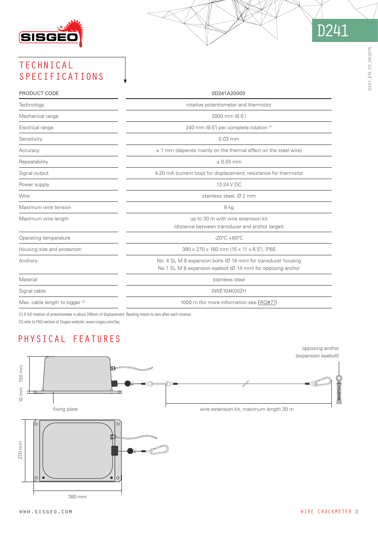

# TECHNICAL SPECIFICATIONS

| PRODUCT CODE                               | 0D241A20000                                                                                                                               |
|--------------------------------------------|-------------------------------------------------------------------------------------------------------------------------------------------|
| Technology                                 | rotative potentiometer and thermistor                                                                                                     |
| Mechanical range                           | 2000 mm (6.5')                                                                                                                            |
| Electrical range                           | 240 mm (9.5") per complete rotation (1)                                                                                                   |
| Sensitivity                                | $0.03$ mm                                                                                                                                 |
| Accuracy                                   | ± 1 mm (depends mainly on the thermal effect on the steel wire)                                                                           |
| Repeatability                              | $± 0.03$ mm                                                                                                                               |
| Signal output                              | 4-20 mA (current loop) for displacement, resistance for thermistor                                                                        |
| Power supply                               | 12-24 V DC                                                                                                                                |
| Wire                                       | stainless steel, Ø 2 mm                                                                                                                   |
| Maximum wire tension                       | 8 kg                                                                                                                                      |
| Maximum wire length                        | up to 30 m with wire extension kit<br>(distance between transducer and anchor target)                                                     |
| Operating temperature                      | $-20^{\circ}$ C +60 $^{\circ}$ C                                                                                                          |
| Housing size and protection                | 380 x 270 x 160 mm (15 x 11 x 6.5"), IP65                                                                                                 |
| Anchors                                    | No. 4 SL M 8 expansion bolts ( $\varnothing$ 14 mm) for transducer housing<br>No.1 SL M 8 expansion eyebolt (Ø 14 mm) for opposing anchor |
| Material                                   | stainless steel                                                                                                                           |
| Signal cable                               | 0WE104K00ZH                                                                                                                               |
| Max. cable length to logger <sup>(2)</sup> | 1000 m (for more information see FAQ#77)                                                                                                  |

(1) A full rotation of potentiometer is about 240mm of displacement. Reading resets to zero after each rotation.

(2) refer to FAQ section of Sisgeo website: www.sisgeo.com/faq

# PHYSICAL FEATURES



D241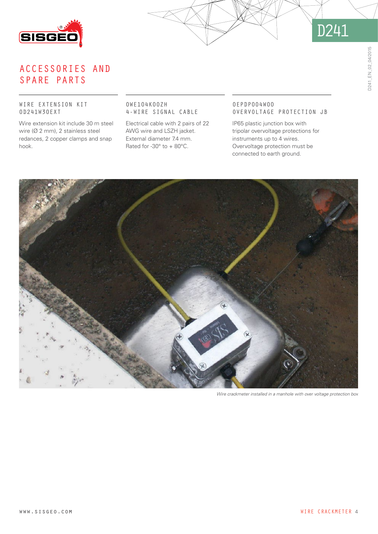



## accessories and spare parts

#### wire extension kit 0D241W30EXT

Wire extension kit include 30 m steel wire (Ø 2 mm), 2 stainless steel redances, 2 copper clamps and snap hook.

#### 0WE104K00ZH 4-WIRE SIGNAL CABLE

Electrical cable with 2 pairs of 22 AWG wire and LSZH jacket. External diameter 7.4 mm. Rated for -30 $^{\circ}$  to + 80 $^{\circ}$ C.

#### 0EPDP004W00 OVERVOLTAGE PROTECTION JB

IP65 plastic junction box with tripolar overvoltage protections for instruments up to 4 wires. Overvoltage protection must be connected to earth ground.



*Wire crackmeter installed in a manhole with over voltage protection box*